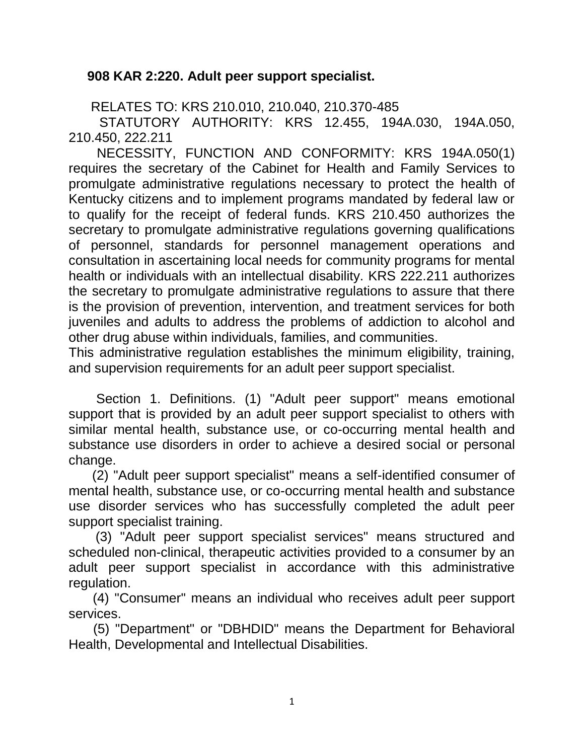## **908 KAR 2:220. Adult peer support specialist.**

RELATES TO: KRS 210.010, 210.040, 210.370-485

 STATUTORY AUTHORITY: KRS 12.455, 194A.030, 194A.050, 210.450, 222.211

 NECESSITY, FUNCTION AND CONFORMITY: KRS 194A.050(1) requires the secretary of the Cabinet for Health and Family Services to promulgate administrative regulations necessary to protect the health of Kentucky citizens and to implement programs mandated by federal law or to qualify for the receipt of federal funds. KRS 210.450 authorizes the secretary to promulgate administrative regulations governing qualifications of personnel, standards for personnel management operations and consultation in ascertaining local needs for community programs for mental health or individuals with an intellectual disability. KRS 222.211 authorizes the secretary to promulgate administrative regulations to assure that there is the provision of prevention, intervention, and treatment services for both juveniles and adults to address the problems of addiction to alcohol and other drug abuse within individuals, families, and communities.

This administrative regulation establishes the minimum eligibility, training, and supervision requirements for an adult peer support specialist.

 Section 1. Definitions. (1) "Adult peer support" means emotional support that is provided by an adult peer support specialist to others with similar mental health, substance use, or co-occurring mental health and substance use disorders in order to achieve a desired social or personal change.

 (2) "Adult peer support specialist" means a self-identified consumer of mental health, substance use, or co-occurring mental health and substance use disorder services who has successfully completed the adult peer support specialist training.

 (3) "Adult peer support specialist services" means structured and scheduled non-clinical, therapeutic activities provided to a consumer by an adult peer support specialist in accordance with this administrative regulation.

 (4) "Consumer" means an individual who receives adult peer support services.

 (5) "Department" or "DBHDID" means the Department for Behavioral Health, Developmental and Intellectual Disabilities.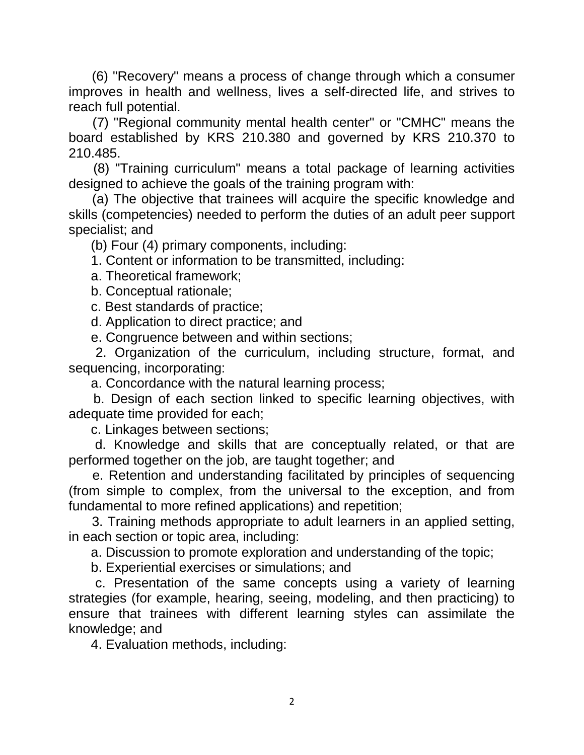(6) "Recovery" means a process of change through which a consumer improves in health and wellness, lives a self-directed life, and strives to reach full potential.

 (7) "Regional community mental health center" or "CMHC" means the board established by KRS 210.380 and governed by KRS 210.370 to 210.485.

 (8) "Training curriculum" means a total package of learning activities designed to achieve the goals of the training program with:

 (a) The objective that trainees will acquire the specific knowledge and skills (competencies) needed to perform the duties of an adult peer support specialist; and

(b) Four (4) primary components, including:

1. Content or information to be transmitted, including:

a. Theoretical framework;

b. Conceptual rationale;

c. Best standards of practice;

d. Application to direct practice; and

e. Congruence between and within sections;

 2. Organization of the curriculum, including structure, format, and sequencing, incorporating:

a. Concordance with the natural learning process;

 b. Design of each section linked to specific learning objectives, with adequate time provided for each;

c. Linkages between sections;

 d. Knowledge and skills that are conceptually related, or that are performed together on the job, are taught together; and

 e. Retention and understanding facilitated by principles of sequencing (from simple to complex, from the universal to the exception, and from fundamental to more refined applications) and repetition;

 3. Training methods appropriate to adult learners in an applied setting, in each section or topic area, including:

a. Discussion to promote exploration and understanding of the topic;

b. Experiential exercises or simulations; and

 c. Presentation of the same concepts using a variety of learning strategies (for example, hearing, seeing, modeling, and then practicing) to ensure that trainees with different learning styles can assimilate the knowledge; and

4. Evaluation methods, including: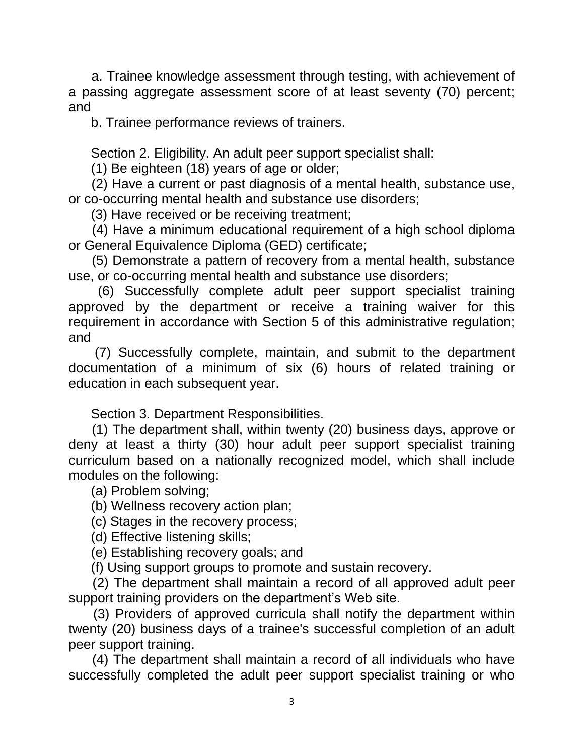a. Trainee knowledge assessment through testing, with achievement of a passing aggregate assessment score of at least seventy (70) percent; and

b. Trainee performance reviews of trainers.

Section 2. Eligibility. An adult peer support specialist shall:

(1) Be eighteen (18) years of age or older;

 (2) Have a current or past diagnosis of a mental health, substance use, or co-occurring mental health and substance use disorders;

(3) Have received or be receiving treatment;

 (4) Have a minimum educational requirement of a high school diploma or General Equivalence Diploma (GED) certificate;

 (5) Demonstrate a pattern of recovery from a mental health, substance use, or co-occurring mental health and substance use disorders;

 (6) Successfully complete adult peer support specialist training approved by the department or receive a training waiver for this requirement in accordance with Section 5 of this administrative regulation; and

 (7) Successfully complete, maintain, and submit to the department documentation of a minimum of six (6) hours of related training or education in each subsequent year.

Section 3. Department Responsibilities.

 (1) The department shall, within twenty (20) business days, approve or deny at least a thirty (30) hour adult peer support specialist training curriculum based on a nationally recognized model, which shall include modules on the following:

(a) Problem solving;

(b) Wellness recovery action plan;

(c) Stages in the recovery process;

(d) Effective listening skills;

(e) Establishing recovery goals; and

(f) Using support groups to promote and sustain recovery.

 (2) The department shall maintain a record of all approved adult peer support training providers on the department's Web site.

 (3) Providers of approved curricula shall notify the department within twenty (20) business days of a trainee's successful completion of an adult peer support training.

 (4) The department shall maintain a record of all individuals who have successfully completed the adult peer support specialist training or who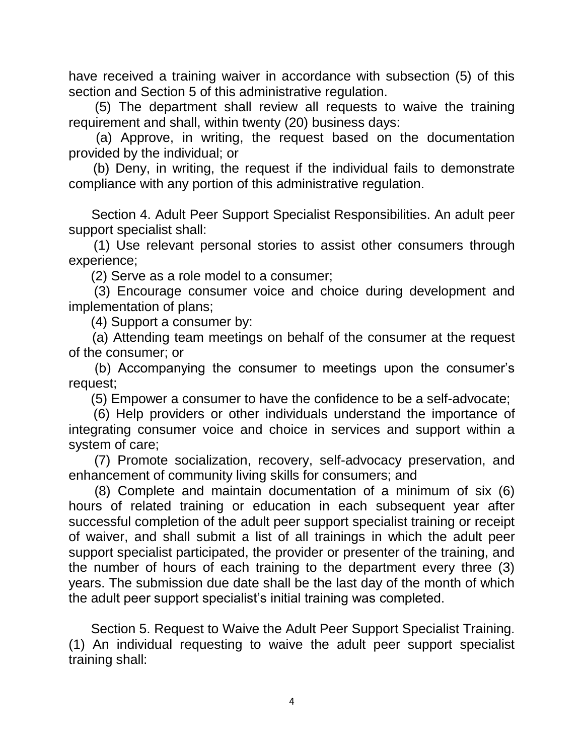have received a training waiver in accordance with subsection (5) of this section and Section 5 of this administrative regulation.

 (5) The department shall review all requests to waive the training requirement and shall, within twenty (20) business days:

 (a) Approve, in writing, the request based on the documentation provided by the individual; or

 (b) Deny, in writing, the request if the individual fails to demonstrate compliance with any portion of this administrative regulation.

 Section 4. Adult Peer Support Specialist Responsibilities. An adult peer support specialist shall:

 (1) Use relevant personal stories to assist other consumers through experience;

(2) Serve as a role model to a consumer;

 (3) Encourage consumer voice and choice during development and implementation of plans;

(4) Support a consumer by:

 (a) Attending team meetings on behalf of the consumer at the request of the consumer; or

 (b) Accompanying the consumer to meetings upon the consumer's request;

(5) Empower a consumer to have the confidence to be a self-advocate;

 (6) Help providers or other individuals understand the importance of integrating consumer voice and choice in services and support within a system of care;

 (7) Promote socialization, recovery, self-advocacy preservation, and enhancement of community living skills for consumers; and

 (8) Complete and maintain documentation of a minimum of six (6) hours of related training or education in each subsequent year after successful completion of the adult peer support specialist training or receipt of waiver, and shall submit a list of all trainings in which the adult peer support specialist participated, the provider or presenter of the training, and the number of hours of each training to the department every three (3) years. The submission due date shall be the last day of the month of which the adult peer support specialist's initial training was completed.

 Section 5. Request to Waive the Adult Peer Support Specialist Training. (1) An individual requesting to waive the adult peer support specialist training shall: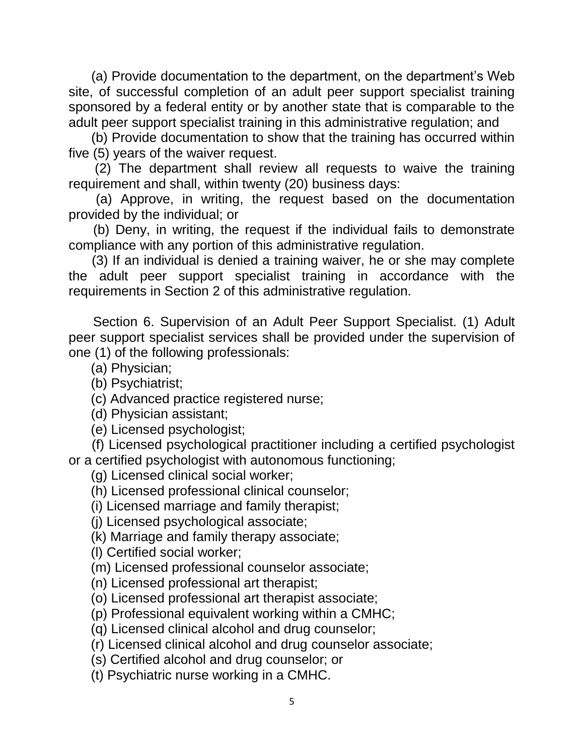(a) Provide documentation to the department, on the department's Web site, of successful completion of an adult peer support specialist training sponsored by a federal entity or by another state that is comparable to the adult peer support specialist training in this administrative regulation; and

 (b) Provide documentation to show that the training has occurred within five (5) years of the waiver request.

 (2) The department shall review all requests to waive the training requirement and shall, within twenty (20) business days:

 (a) Approve, in writing, the request based on the documentation provided by the individual; or

 (b) Deny, in writing, the request if the individual fails to demonstrate compliance with any portion of this administrative regulation.

 (3) If an individual is denied a training waiver, he or she may complete the adult peer support specialist training in accordance with the requirements in Section 2 of this administrative regulation.

 Section 6. Supervision of an Adult Peer Support Specialist. (1) Adult peer support specialist services shall be provided under the supervision of one (1) of the following professionals:

(a) Physician;

(b) Psychiatrist;

(c) Advanced practice registered nurse;

(d) Physician assistant;

(e) Licensed psychologist;

 (f) Licensed psychological practitioner including a certified psychologist or a certified psychologist with autonomous functioning;

(g) Licensed clinical social worker;

(h) Licensed professional clinical counselor;

(i) Licensed marriage and family therapist;

(j) Licensed psychological associate;

(k) Marriage and family therapy associate;

(l) Certified social worker;

(m) Licensed professional counselor associate;

(n) Licensed professional art therapist;

(o) Licensed professional art therapist associate;

(p) Professional equivalent working within a CMHC;

(q) Licensed clinical alcohol and drug counselor;

(r) Licensed clinical alcohol and drug counselor associate;

(s) Certified alcohol and drug counselor; or

(t) Psychiatric nurse working in a CMHC.